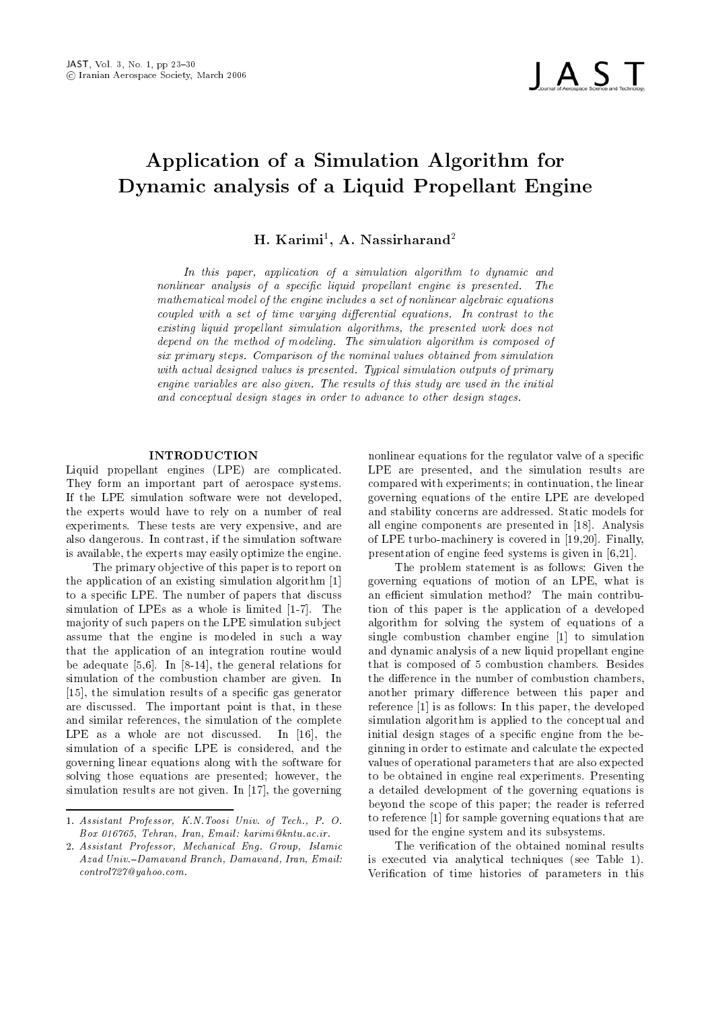

# Application of a Simulation Algorithm for Dynamic analysis of a Liquid Propellant Engine

H. Karimi", A. Ivassirnarand<sup>-</sup>

In this paper- application of <sup>a</sup> simulation algorithm to dynamic and  $normal$  and  $i$  analysis of a specific liquid propellant engine is presented. The mathematical model of the engine includes a set of nonlinear algebraic equationscoupled with <sup>a</sup> set of time varying dierential equations In contrast to the existing aquia propellant simulation algorithms, the presented work does not depend on the method of modeling The simulation algorithm is composed of six primary steps Comparison of the nominal values obtained from simulation with actual acsigned values is presented. Typical simulation valputs of primary a engine variables are also given. The results of this study are used in the initial and conceptual design stages in order to advance to other design stages

#### INTRODUCTION

Liquid propellant engines -LPE are complicated They form an important part of aerospace systems If the LPE simulation software were not developed the experts would have to rely on a number of real experiments. These tests are very expensive, and are also dangerous. In contrast, if the simulation software is available, the experts may easily optimize the engine.

The primary ob jective of this paper is to report on the application of an existing simulation algorithm to a specific LPE. The number of papers that discuss simulation of LPEs as a whole is limited to the LPEs as a whole is limited to the LPEs as a whole is limited to ma jority of such papers on the LPE simulation sub ject assume that the engine is modeled in such a way that the application of an integration routine would  $\mathbf{u}$  and add adequate the general relations for  $\mathbf{u}$ simulation of the combustion chamber are given. In [15], the simulation results of a specific gas generator are discussed. The important point is that, in these and similar references, the simulation of the complete LPE as a whole are not discussed. In  $[16]$ , the simulation of a specific LPE is considered, and the governing linear equations along with the software for solving those equations are presented; however, the simulation results are not given. In  $[17]$ , the governing

nonlinear equations for the regulator valve of a specific LPE are presented, and the simulation results are compared with experiments; in continuation, the linear governing equations of the entire LPE are developed and stability concerns are addressed. Static models for all engine components are presented in [18]. Analysis of LPE turbo machinery is covered in the LPE turbo machinery is covered in the LPE turbo machinery is covered i presentation of engine feed systems is given in

The problem statement is as follows: Given the governing equations of motion of an LPE what is an efficient simulation method? The main contribution of this paper is the application of a developed algorithm for solving the system of equations of a single combustion chamber engine  $\begin{bmatrix} 1 \end{bmatrix}$  to simulation and dynamic analysis of a new liquid propellant engine that is composed of 5 combustion chambers. Besides the difference in the number of combustion chambers, another primary difference between this paper and reference [1] is as follows: In this paper, the developed simulation algorithm is applied to the conceptual and initial design stages of a specific engine from the beginning in order to estimate and calculate the expected values of operational parameters that are also expected to be obtained in engine real experiments Presenting a detailed development of the governing equations is beyond the scope of this paper; the reader is referred to reference [1] for sample governing equations that are used for the engine system and its subsystems

The verification of the obtained nominal results is executed via analytical techniques -see Table Verification of time histories of parameters in this

et een die volgense gebeure begin die die gewenig van die volgensie van die volgensie van die volgensie van di Box - Tehran- Iran- Email karimi kntuacir

<sup>-</sup> Assistant Professor- Mechanical Eng Group- Islamic Azad UnivDamavand Branch- Damavand- Iran- Email control yahoocom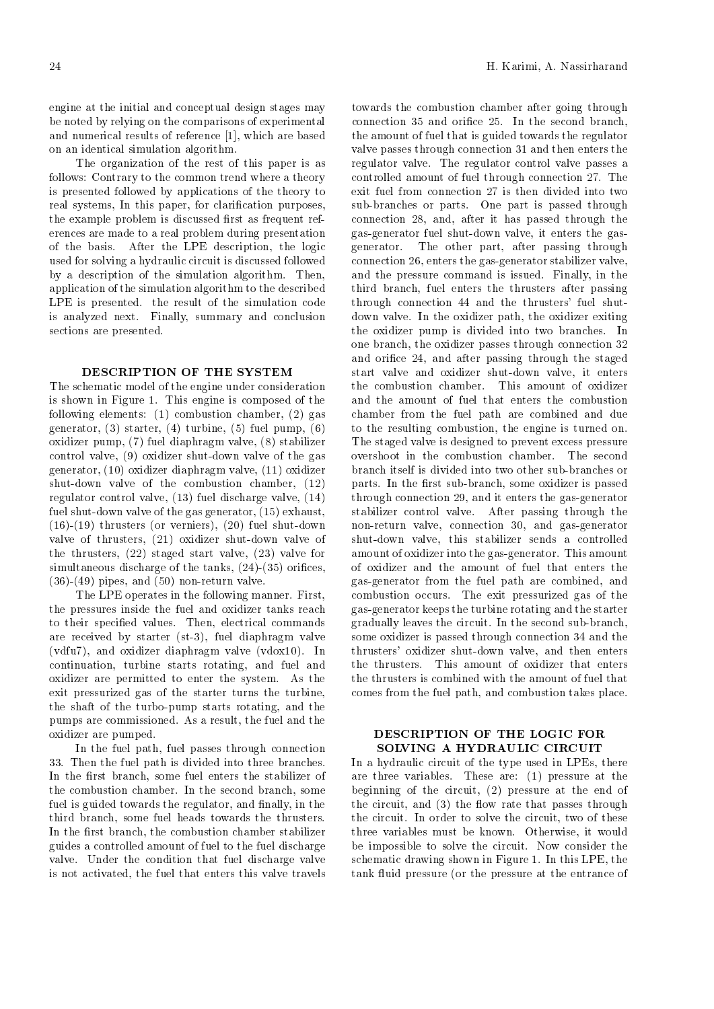engine at the initial and conceptual design stages may be noted by relying on the comparisons of experimental and numerical results of reference  $[1]$ , which are based on an identical simulation algorithm

The organization of the rest of this paper is as follows: Contrary to the common trend where a theory is presented followed by applications of the theory to real systems, In this paper, for clarification purposes, the example problem is discussed first as frequent references are made to a real problem during presentation of the basis. After the LPE description, the logic used for solving a hydraulic circuit is discussed followed by a description of the simulation algorithm. Then, application of the simulation algorithm to the described LPE is presented. the result of the simulation code is analyzed next. Finally, summary and conclusion sections are presented

# DESCRIPTION OF THE SYSTEM

The schematic model of the engine under consideration is shown in Figure 1. This engine is composed of the following elements:  $(1)$  combustion chamber,  $(2)$  gas  $\mathbf{a}$  is the function of the function of  $\mathbf{b}$ oxidizer pump,  $(7)$  fuel diaphragm valve,  $(8)$  stabilizer  $\mathcal{C}$  and  $\mathcal{C}$  and  $\mathcal{C}$  shutter shutter shutter shutter shutter shutter shutter shutter shutter shutter shutter shutter shutter shutter shutter shutter shutter shutter shutter shutter shutter shutter shutter sh generator,  $(10)$  oxidizer diaphragm valve,  $(11)$  oxidizer shut down value of the combustion chambers of the combustion chambers of the combustion chambers of the combustion chambers of the combustion chambers of the combustion chambers of the combustion combustion combustion comb regulator control valve,  $(13)$  fuel discharge valve,  $(14)$  $\mathbf{u}$  shut of the gas generator  $\mathbf{u}$  $\mathbf{u}$  is a solution of vertices or vertices or vertices  $\mathbf{u}$  and  $\mathbf{u}$ valve to the shutters (all, continued the state that is the contract of the contract of  $\alpha$ the thrusters,  $(22)$  staged start valve,  $(23)$  valve for  $\mathbf{a}$  and the tanks of the tanks of the tanks of the tanks of the tanks of the tanks of the tanks of the tanks of the tanks of the tanks of the tanks of the tanks of the tanks of the tanks of the tanks of the tanks of  - pipes and  non return valve

The LPE operates in the following manner. First, the pressures inside the fuel and oxidizer tanks reach to their specified values. Then, electrical commands are received by starter starter starter starter starter starter starter starter starter starter starter starter  $(vdfu7)$ , and oxidizer diaphragm valve  $(vdox10)$ . In continuation, turbine starts rotating, and fuel and oxidizer are permitted to enter the system. As the exit pressurized gas of the starter turns the turbine the shaft of the turbo pump starts rotating and the pumps are commissioned. As a result, the fuel and the oxidizer are pumped

In the fuel path, fuel passes through connection 33. Then the fuel path is divided into three branches. In the first branch, some fuel enters the stabilizer of the combustion chamber. In the second branch, some fuel is guided towards the regulator, and finally, in the third branch, some fuel heads towards the thrusters. In the first branch, the combustion chamber stabilizer guides a controlled amount of fuel to the fuel discharge valve. Under the condition that fuel discharge valve is not activated, the fuel that enters this valve travels

connection is a connection of the connection of the connection of the connection of the connection of the connection of the connection of the connection of the connection of the connection of the connection of the connecti through connection  $\mathbf{u}$  and it enters the gas  $\mathbf{u}$ towards the combustion chamber after going through connection 35 and orifice 25. In the second branch, the amount of fuel that is guided towards the regulator valve passes through connection 31 and then enters the regulator valve. The regulator control valve passes a controlled amount of fuel through connection 27. The exit fuel from connection 27 is then divided into two sub branches or parts One part is passed through gas generator fuel shut down valve it enters the gas generator. The other part, after passing through connection enters the gas generator stabilizer valve and the pressure command is issued. Finally, in the third branch, fuel enters the thrusters after passing  $\mathbf{f}_1$ down valve. In the oxidizer path, the oxidizer exiting the oxidizer pump is divided into two branches. In one branch, the oxidizer passes through connection 32 and orientation of the staged through the staged through the staged through the staged through the staged through the staged through the staged through through the staged through through the staged through through the sta start valve and oxidizer shut valve and oxidizer shut valve it enters in the shut value it enters in the shut the combustion chamber. This amount of oxidizer and the amount of fuel that enters the combustion chamber from the fuel path are combined and due to the resulting combustion, the engine is turned on. The staged valve is designed to prevent excess pressure overshoot in the combustion chamber. The second parts In the comparison is part subsequently branch some oxidizer is passed in the comparison of the comparison of the comparison of the comparison of the comparison of the comparison of the comparison of the comparison of stabilizer control valve. After passing through the return valve connection and gas and gas and gas and gas and gas and gas and gas and gas and gas and gas and ga shut as the this stabilizer sends a controlled a controlled and the stabilizer of and  $\mathbf{u}$  into the gas generator  $\mathbf{u}$ of oxidizer and the amount of fuel that enters the gas gas to from the fuel path are computed and computed and computed and computed and computed and computed and combustion occurs. The exit pressurized gas of the gas generator keeps the turbine rotating and the starter rotation gradually leaves the circuit In the second sub branch some oxidizer is passed through connection  $\{1\}$ thrusters oxidizer shut and then enters of the new value and then enters of the new value and then enters of t the thrusters. This amount of oxidizer that enters the thrusters is combined with the amount of fuel that comes from the fuel path, and combustion takes place.

## DESCRIPTION OF THE LOGIC FOR SOLVING <sup>A</sup> HYDRAULIC CIRCUIT

In a hydraulic circuit of the type used in LPEs, there are three variables. These are:  $(1)$  pressure at the beginning of the circuit,  $(2)$  pressure at the end of the circuit, and  $(3)$  the flow rate that passes through the circuit. In order to solve the circuit, two of these three variables must be known. Otherwise, it would be impossible to solve the circuit. Now consider the schematic drawing shown in Figure 1. In this LPE, the tank fluid pressure (or the pressure at the entrance of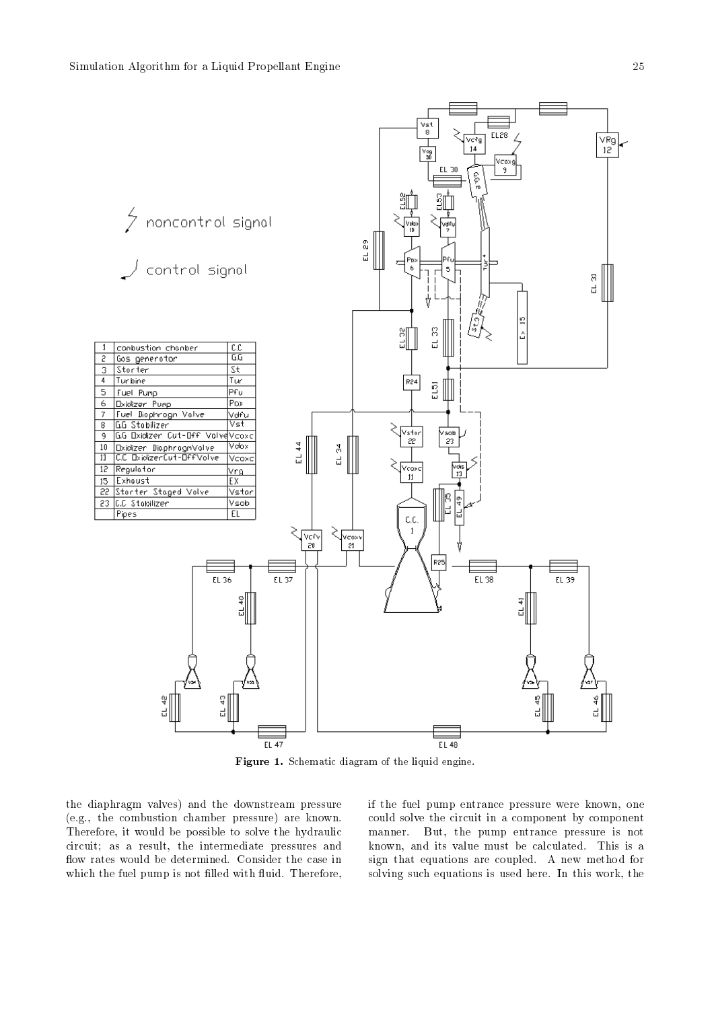

Figure - Schematic diagram of the liquid engine-

the diaphragm valves) and the downstream pressure  $(e.g., the combustion chamber pressure) are known.$ Therefore, it would be possible to solve the hydraulic circuit; as a result, the intermediate pressures and flow rates would be determined. Consider the case in which the fuel pump is not there with a most a model with  $\mathcal{L}$ 

if the fuel pump entrance pressure were known, one could solve the circuit in a component by component manner. But, the pump entrance pressure is not known, and its value must be calculated. This is a sign that equations are coupled. A new method for solving such equations is used here. In this work, the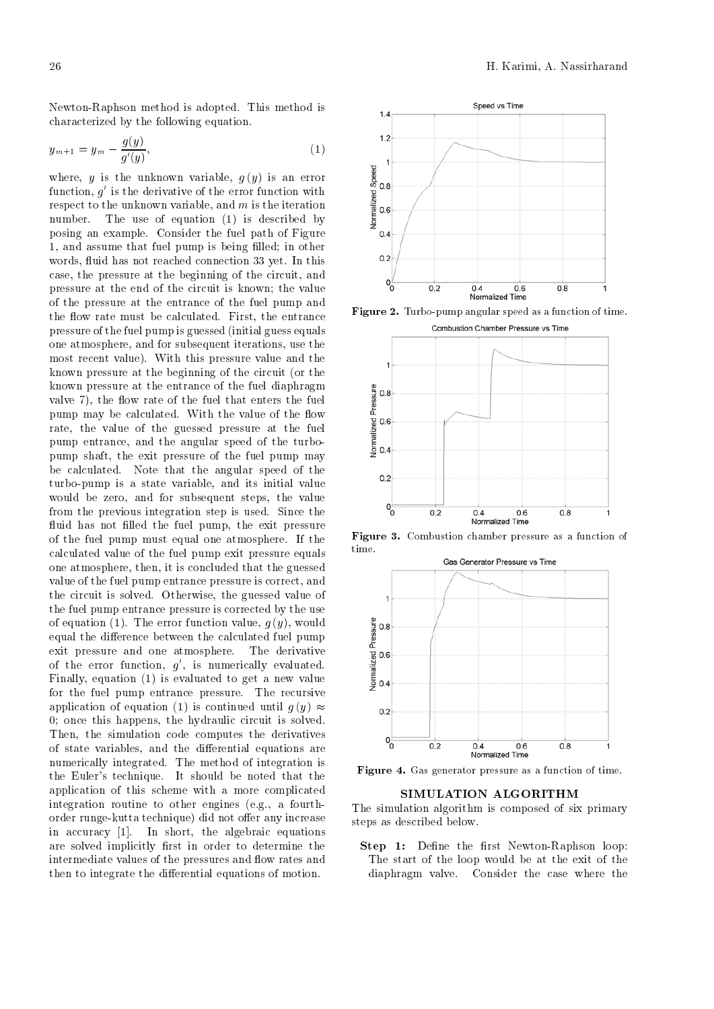Newton-Raphson method is adopted. This method is characterized by the following equation

$$
y_{m+1} = y_m - \frac{g(y)}{g'(y)},
$$
\n(1)

where, y is the unknown variable,  $g(y)$  is an error where, y is the unknown variable,  $g(y)$  is an error<br>function, g' is the derivative of the error function with<br>respect to the unknown variable, and m is the iteration<br>number. The use of equation (1) is described by respect to the unknown variable, and  $m$  is the iteration number. The use of equation  $(1)$  is described by posing an example. Consider the fuel path of Figure and assume that fuel pump is being lled in other words, fluid has not reached connection 33 yet. In this case, the pressure at the beginning of the circuit, and pressure at the end of the circuit is known; the value of the pressure at the entrance of the fuel pump and the flow rate must be calculated. First, the entrance pressure of the fuel pump is guessed (initial guess equals one atmosphere, and for subsequent iterations, use the most recent value). With this pressure value and the known pressure at the beginning of the circuit (or the known pressure at the entrance of the fuel diaphragm<br>valve 7), the flow rate of the fuel that enters the fuel<br>pump may be calculated. With the value of the flow<br>rate, the value of the guessed pressure at the fuel<br>pump ent valve 7), the flow rate of the fuel that enters the fuel pump may be calculated. With the value of the flow  $\frac{a}{8}$  0.6 rate, the value of the guessed pressure at the fuel pump entrance, and the angular speed of the turbopump shaft, the exit pressure of the fuel pump may be calculated. Note that the angular speed of the turbo-pump is a state variable, and its initial value would be zero, and for subsequent steps, the value from the previous integration step is used. Since the uid has not the fuel pump the fuel pump the fuel pump the fuel pump the fuel pump the exit pressure of the exit p of the fuel pump must equal one atmosphere. If the  $\frac{1}{2}$  time calculated value of the fuel pump exit pressure equals one atmosphere, then, it is concluded that the guessed value of the fuel pump entrance pressure is correct, and the circuit is solved. Otherwise, the guessed value of the fuel pump entrance pressure is corrected by the use of equation (1). The error function value,  $g(y)$ , would<br>
equal the difference between the calculated fuel pump<br>
exit pressure and one atmosphere. The derivative<br>
of the error function,  $g'$ , is numerically evaluated.<br>
Fin equal the difference between the calculated fuel pump exit pressure and one atmosphere. The derivative of the error function,  $g'$ , is numerically evaluated. Finally, equation  $(1)$  is evaluated to get a new value for the fuel pump entrance pressure. The recursive application of equation (1) is continued until  $q(y) \approx$  $0$ ; once this happens, the hydraulic circuit is solved. Then, the simulation code computes the derivatives of state variables, and the differential equations are numerically integrated. The method of integration is the Euler's technique. It should be noted that the application of this scheme with a more complicated integration routine to other engines (e.g., a fourthorder runge-kutta technique) did not offer any increase in accuracy  $[1]$ . In short, the algebraic equations are solved implicitly rst in order to determine the intermediate values of the pressures and flow rates and then to integrate the differential equations of motion.



**Figure 2.** Turbo-pump angular speed as a function of time.



Figure Combustion chamber pressure as a function of



Figure Gas generator pressure as a function of time

#### SIMULATION ALGORITHM

The simulation algorithm is composed of six primary steps as described below

Step - De newtonRaphson loop - De newtonRaphson loop - De newtonRaphson loop - De newtonRaphson loop - De newt The start of the loop would be at the exit of the diaphragm valve. Consider the case where the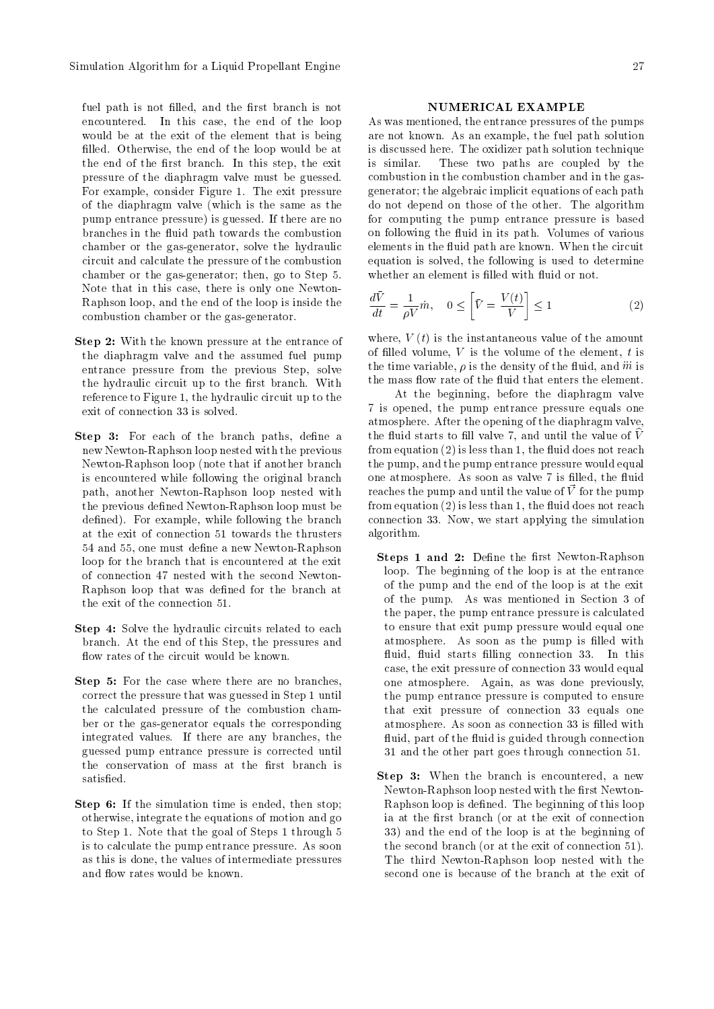fuel path is not filled, and the first branch is not encountered. In this case, the end of the loop would be at the exit of the element that is being filled. Otherwise, the end of the loop would be at the end of the first branch. In this step, the exit pressure of the diaphragm valve must be guessed For example, consider Figure 1. The exit pressure of the diaphragm valve which is the same as the pump entrance pressure) is guessed. If there are no branches in the combustion of the combustion of the combustion of the combustion of the combustion of the combustion of the combustion of the combustion of the combustion of the combustion of the combustion of the combusti chamber or the gas-generator, solve the hydraulic circuit and calculate the pressure of the combustion chamber or the gas-generator; then, go to Step 5. Note that in this case, there is only one Newton-Raphson loop and the end of the loop is inside the combustion chamber or the gas-generator.

- Step With the known pressure at the known pressure at the entrance of the entrance of the entrance of the en the diaphragm valve and the assumed fuel pump entrance pressure from the previous Step, solve the hydraulic circuit up to the first branch. With reference to Figure 1, the hydraulic circuit up to the exit of connection 33 is solved.
- Step 3: For each of the branch paths, define a new Newton-Raphson loop nested with the previous Newton-Raphson loop (note that if another branch is encountered while following the original branch path, another Newton-Raphson loop nested with the previous defined Newton-Raphson loop must be defined). For example, while following the branch at the exit of connection 51 towards the thrusters 54 and 55, one must define a new Newton-Raphson loop for the branch that is encountered at the exit of connection 47 nested with the second Newton-Raphson loop that was defined for the branch at the exit of the connection 51.
- Step 4: Solve the hydraulic circuits related to each branch. At the end of this Step, the pressures and
- Step 5: For the case where there are no branches, correct the pressure that was guessed in Step 1 until the calculated pressure of the combustion cham ber or the gas-generator equals the corresponding integrated values. If there are any branches, the guessed pump entrance pressure is corrected until the conservation of mass at the first branch is satisfied.
- Step 6: If the simulation time is ended, then stop: otherwise, integrate the equations of motion and go to Step 1. Note that the goal of Steps 1 through 5 is to calculate the pump entrance pressure. As soon as this is done, the values of intermediate pressures

### NUMERICAL EXAMPLE

As was mentioned, the entrance pressures of the pumps are not known. As an example, the fuel path solution is discussed here. The oxidizer path solution technique is similar. These two paths are coupled by the combustion in the combustion chamber and in the gas generator the algebraic implicit equations of each path do not depend on those of the other. The algorithm for computing the pump entrance pressure is based uid in its part of the company of various of various of various of  $\alpha$ elements in the circuit path are known When the circuit path are known When the circuit path are known When the circuit path are known When the circuit path are known When the circuit path are known When the circuit path a equation is solved, the following is used to determine

$$
\frac{d\bar{V}}{dt} = \frac{1}{\rho V}\dot{m}, \quad 0 \le \left[\bar{V} = \frac{V(t)}{V}\right] \le 1\tag{2}
$$

where,  $V(t)$  is the instantaneous value of the amount of filled volume,  $V$  is the volume of the element,  $t$  is the time variable,  $\rho$  is the density of the fluid, and m is

At the beginning, before the diaphragm valve 7 is opened, the pump entrance pressure equals one atmosphere. After the opening of the diaphragm valve, the nuiture starts to him valve  $\ell$ , and until the value of  $\nu$ from equation - is less than the equation - is less than the equation - is less than the equation reaches no the pump and the pump entrance pressure would equal one atmosphere as soon as value is letter to the most in the society of the society of the society of the society of the society of the society of the society of the society of the society of the society of the society of reaches the pump and until the value of  $\vec{V}$  for the pump from equation - is less than the uid does not reach connection 33. Now, we start applying the simulation algorithm

- steps a dens al and lead dens the right and propose loop. The beginning of the loop is at the entrance of the pump and the end of the loop is at the exit of the pump. As was mentioned in Section 3 of the paper, the pump entrance pressure is calculated to ensure that exit pump pressure would equal one atmosphere. As soon as the pump is filled with uid starts ling connection and the starts of the starts of the starts of the starts of the starts of the starts case, the exit pressure of connection 33 would equal one atmosphere. Again, as was done previously, the pump entrance pressure is computed to ensure that exit pressure of connection 33 equals one atmosphere. As soon as connection 33 is filled with uid is guided through connections and the connection connections are a series of the connection of the connection of the connection of the connection of the connection of the connection of the connection of the connection 31 and the other part goes through connection 51.
- Step 3: When the branch is encountered, a new Newton-Raphson loop nested with the first Newton-Raphson loop is defined. The beginning of this loop ia at the first branch (or at the exit of connection 33) and the end of the loop is at the beginning of the second branch (or at the exit of connection 51). The third Newton-Raphson loop nested with the second one is because of the branch at the exit of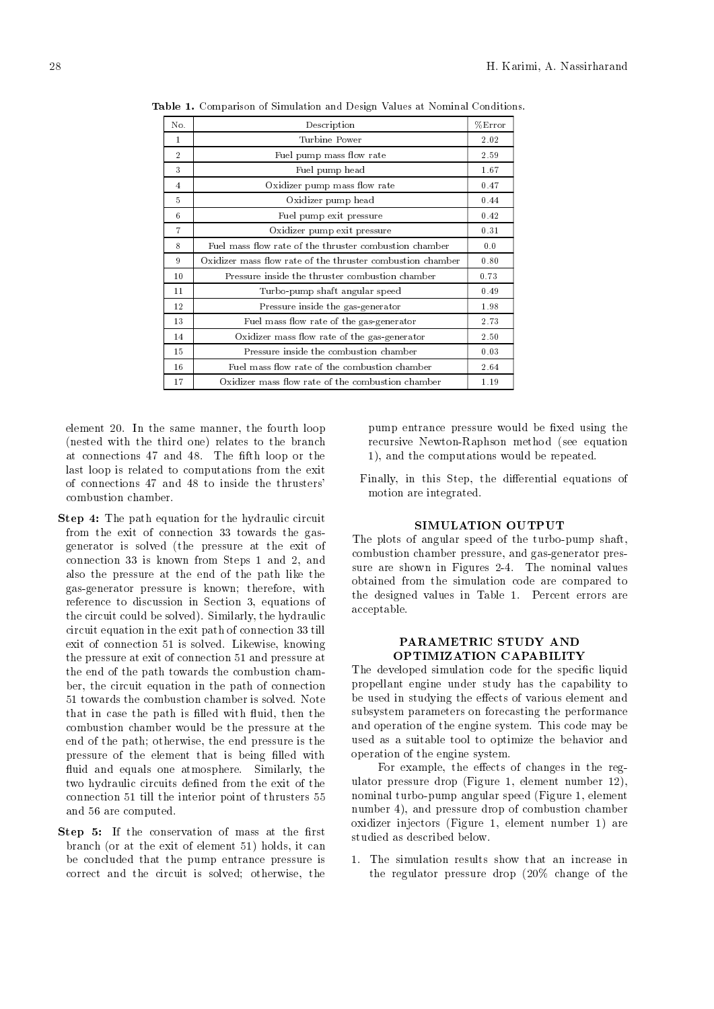| No.            | Description                                                | %Error |
|----------------|------------------------------------------------------------|--------|
| $\mathbf{1}$   | Turbine Power                                              | 2.02   |
| $\overline{2}$ | Fuel pump mass flow rate                                   | 2.59   |
| 3              | Fuel pump head                                             | 1.67   |
| 4              | Oxidizer pump mass flow rate                               | 0.47   |
| 5              | Oxidizer pump head                                         | 0.44   |
| 6              | Fuel pump exit pressure                                    | 0.42   |
| $\overline{7}$ | Oxidizer pump exit pressure                                | 0.31   |
| 8              | Fuel mass flow rate of the thruster combustion chamber     | 0.0    |
| 9              | Oxidizer mass flow rate of the thruster combustion chamber | 0.80   |
| 10             | Pressure inside the thruster combustion chamber            | 0.73   |
| 11             | Turbo-pump shaft angular speed                             | 0.49   |
| 12             | Pressure inside the gas-generator                          | 1.98   |
| 13             | Fuel mass flow rate of the gas-generator                   | 2.73   |
| 14             | Oxidizer mass flow rate of the gas-generator               | 2.50   |
| 15             | Pressure inside the combustion chamber                     | 0.03   |
| 16             | Fuel mass flow rate of the combustion chamber              | 2.64   |
| 17             | Oxidizer mass flow rate of the combustion chamber          | 1.19   |

**Table 1.** Comparison of Simulation and Design Values at Nominal Conditions.

element 20. In the same manner, the fourth loop (nested with the third one) relates to the branch at connections  $\mathcal{L}_\mathcal{A}$  and  $\mathcal{L}_\mathcal{A}$  and  $\mathcal{L}_\mathcal{A}$  and  $\mathcal{L}_\mathcal{A}$  and  $\mathcal{L}_\mathcal{A}$ last loop is related to computations from the exit combustion chamber

- $\mathbf{r}$   $\mathbf{r}$   $\mathbf{r}$   $\mathbf{r}$  and  $\mathbf{r}$  and  $\mathbf{r}$  and  $\mathbf{r}$  and  $\mathbf{r}$  and  $\mathbf{r}$   $\mathbf{r}$   $\mathbf{r}$   $\mathbf{r}$   $\mathbf{r}$   $\mathbf{r}$   $\mathbf{r}$   $\mathbf{r}$   $\mathbf{r}$   $\mathbf{r}$   $\mathbf{r}$   $\$ from the exit of connection 33 towards the gasgenerator is solved the pressure at the exit of connection 33 is known from Steps 1 and 2, and also the pressure at the end of the path like the gas-generator pressure is known; therefore, with reference to discussion in Section 3, equations of the circuit could be solved). Similarly, the hydraulic circuit equation in the exit path of connection 33 till exit of connection 51 is solved. Likewise, knowing the pressure at exit of connection 51 and pressure at the end of the path towards the combustion cham ber, the circuit equation in the path of connection 51 towards the combustion chamber is solved. Note that in the the path is distinct with  $\frac{1}{2}$ combustion chamber would be the pressure at the end of the path; otherwise, the end pressure is the pressure of the element that is being lled with fluid and equals one atmosphere. Similarly, the two hydraulic circuits de from the exit of the exit of the exit of the exit of the exit of the exit of the exit connection 51 till the interior point of thrusters 55 and 56 are computed.
- step if an intervation of mass at the conservation of  $\mathbb{R}^n$ branch (or at the exit of element 51) holds, it can be concluded that the pump entrance pressure is correct and the circuit is solved; otherwise, the

pump entrance pressure would be xed using the recursive Newton-Raphson method (see equation 1), and the computations would be repeated.

Finally, in this Step, the differential equations of motion are integrated

# SIMULATION OUTPUT

The plots of angular speed of the turbo-pump shaft, combustion chamber pressure, and gas-generator pressure are shown in Figures 2-4. The nominal values obtained from the simulation code are compared to the designed values in Table 1. Percent errors are acceptable

### PARAMETRIC STUDY AND OPTIMIZATION CAPABILITY

The developed simulation code for the speci c liquid propellant engine under study has the capability to be used in studying the effects of various element and subsystem parameters on forecasting the performance and operation of the engine system. This code may be used as a suitable tool to optimize the behavior and operation of the engine system

For example, the effects of changes in the regulator pressure drop (Figure 1, element number  $12$ ), nominal turbo-pump angular speed (Figure 1, element number 4), and pressure drop of combustion chamber oxidizer injectors (Figure 1, element number 1) are studied as described below

1. The simulation results show that an increase in the regulator pressure drop  $(20\%$  change of the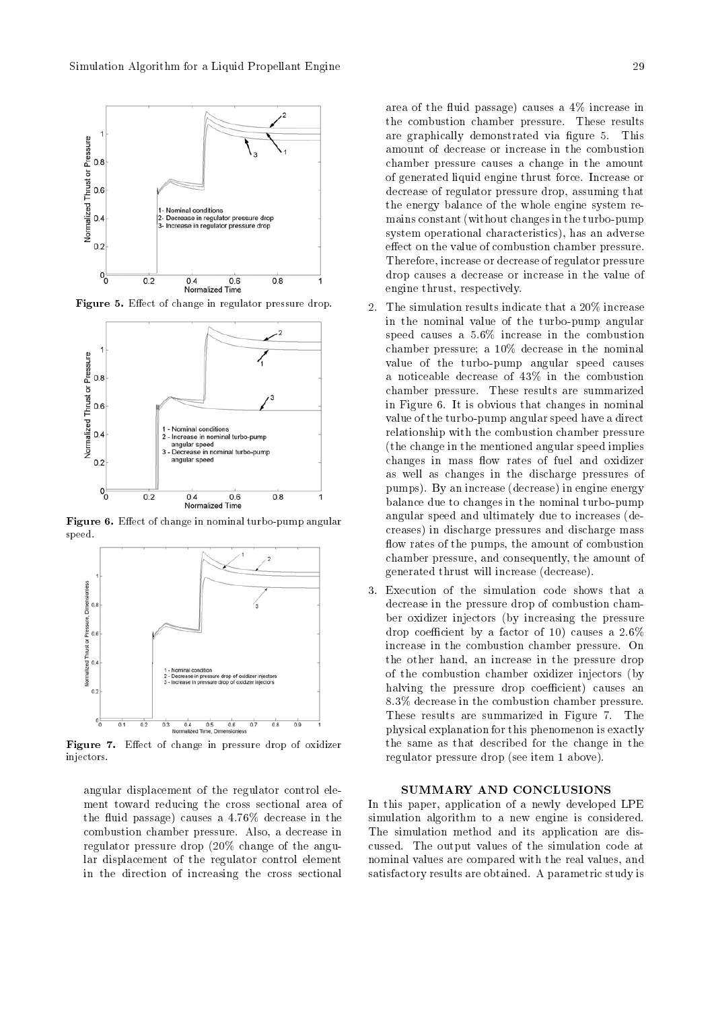

**Figure 3.** Effect of change in regulator pressure drop.



**Figure 0.** Enect of change in nominal turbo-pump angular speed



Figure E-ect of change in pressure drop of oxidizer injectors

angular displacement of the regulator control ele ment toward reducing the cross sectional area of the uid passage causes a decrease in the combustion chamber pressure. Also, a decrease in regulator pressure drop - change of the angu lar displacement of the regulator control element in the direction of increasing the cross sectional

area of the fluid passage) causes a  $4\%$  increase in the combustion chamber pressure. These results are graphically demonstrated via figure 5. This amount of decrease or increase in the combustion chamber pressure causes a change in the amount of generated liquid engine thrust force Increase or decrease of regulator pressure drop assuming that the energy balance of the whole engine system re mains constant (without changes in the turbo-pump system operational characteristics), has an adverse effect on the value of combustion chamber pressure. Therefore increase or decrease of regulator pressure drop causes a decrease or increase in the value of engine thrust, respectively.

- $\mathcal{D}$ in the nominal value of the turbo-pump angular speed causes a combustion in the combustion of the combustion of the combustion of the combustion of the combustion of the combustion of the combustion of the combustion of the combustion of the combustion of the combustio chamber pressure; a  $10\%$  decrease in the nominal value of the turbo-pump angular speed causes a noticeable decrease of  $43\%$  in the combustion chamber pressure. These results are summarized in Figure , we can expect that changes in  $\mathbf{f}$  is obvious that changes in non-invalue of the turbo-pump angular speed have a direct relationship with the combustion chamber pressure the change in the mentioned angular speed implies changes in mass flow rates of fuel and oxidizer as well as changes in the discharge pressures of pumps). By an increase (decrease) in engine energy balance due to changes in the nominal turbo-pump angular speed and ultimately due to increases 
de creases) in discharge pressures and discharge mass flow rates of the pumps, the amount of combustion chamber pressure and consequently the amount of generated thrust will increase 
decrease
- Execution of the simulation code shows that a decrease in the pressure drop of combustion cham ber oxidizer injectors (by increasing the pressure drop coecient by a factor of  $\alpha$  factor of  $\alpha$ increase in the combustion chamber pressure. On the other hand, an increase in the pressure drop of the combustion chamber oxidizer injectors by halving the pressure drop coefficient) causes an 8.3% decrease in the combustion chamber pressure. These results are summarized in Figure 7. The physical explanation for this phenomenon is exactly the same as that described for the change in the regulator pressure drop (see item 1 above).

#### SUMMARY AND CONCLUSIONS

In this paper, application of a newly developed LPE simulation algorithm to a new engine is considered. The simulation method and its application are dis cussed. The output values of the simulation code at nominal values are compared with the real values and satisfactory results are obtained. A parametric study is